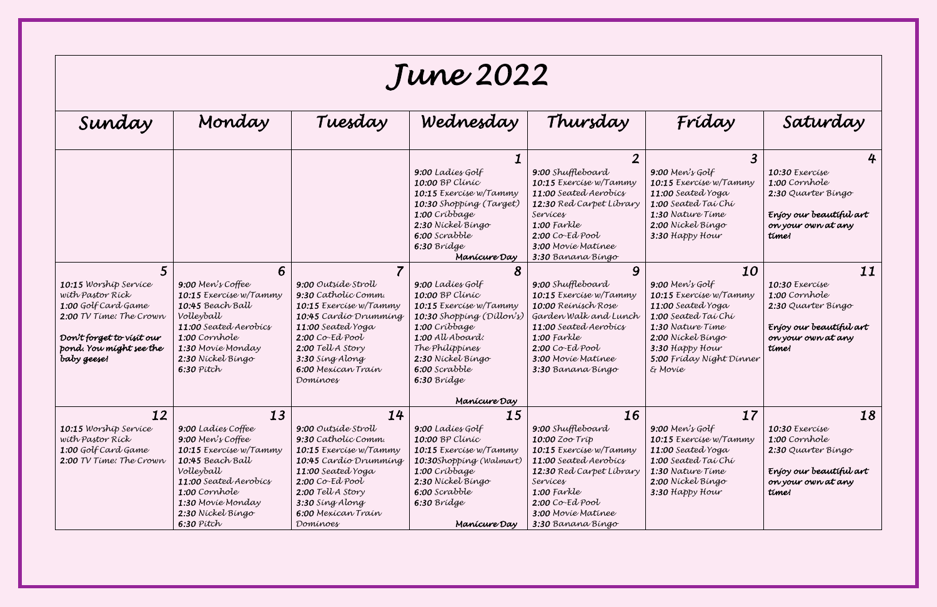## *June 2022*

| Sunday                                                                                                                                                             | Monday                                                                                                                                                                                                          | Tuesday                                                                                                                                                                                                                 | Wednesday                                                                                                                                                                                                               | Thursday                                                                                                                                                                                                                            | Fríday                                                                                                                                                                                           | Saturday                                                                                                                     |  |  |  |  |
|--------------------------------------------------------------------------------------------------------------------------------------------------------------------|-----------------------------------------------------------------------------------------------------------------------------------------------------------------------------------------------------------------|-------------------------------------------------------------------------------------------------------------------------------------------------------------------------------------------------------------------------|-------------------------------------------------------------------------------------------------------------------------------------------------------------------------------------------------------------------------|-------------------------------------------------------------------------------------------------------------------------------------------------------------------------------------------------------------------------------------|--------------------------------------------------------------------------------------------------------------------------------------------------------------------------------------------------|------------------------------------------------------------------------------------------------------------------------------|--|--|--|--|
|                                                                                                                                                                    |                                                                                                                                                                                                                 |                                                                                                                                                                                                                         | 9:00 Ladies Golf<br><b>10:00 BP Clinic</b><br>10:15 Exercise w/Tammy<br>10:30 Shopping (Target)<br>1:00 Críbbage<br>2:30 Nickel Bingo<br>6:00 Scrabble<br>6:30 Bridge<br>Manícure Day                                   | $\overline{\mathbf{2}}$<br>9:00 Shuffleboard<br>10:15 Exercise w/Tammy<br>11:00 Seated Aerobics<br>12:30 Red Carpet Library<br>Services<br>$1:00$ Farkle<br>$2:00$ Co-Ed Pool<br>3:00 Movie Matinee<br>3:30 Banana Bingo            | $9:00$ Men's Golf<br>10:15 Exercise w/Tammy<br>11:00 Seated Yoga<br>1:00 Seated Tai Chi<br>1:30 Nature Time<br>2:00 Nickel Bingo<br>3:30 Happy Hour                                              | 4<br>10:30 Exercise<br>1:00 Cornhole<br>2:30 Quarter Bingo<br>Enjoy our beautiful art<br>on your own at any<br>time!         |  |  |  |  |
| 10:15 Worship Service<br>with Pastor Rick<br>1:00 Golf Card Game<br>2:00 TV Time: The Crown<br>Don't forget to visit our<br>pond. You might see the<br>baby geese! | 6<br>9:00 Men's Coffee<br>10:15 Exercise w/Tammy<br>10:45 Beach Ball<br>Volleyball<br>11:00 Seated Aerobics<br>1:00 Cornhole<br>1:30 Movie Monday<br>2:30 Nickel Bingo<br>$6:30$ $P$ itch                       | 9:00 Outside Stroll<br>9:30 Catholic Comm.<br>10:15 Exercise w/Tammy<br>10:45 Cardio Drumming<br>11:00 Seated Yoga<br>$2.00$ Co-Ed Pool<br>2:00 Tell A Story<br>3:30 Sing Along<br>6:00 Mexican Train<br>Dominoes       | 9:00 Ladies Golf<br>10:00 BP Clinic<br>10:15 Exercise w/Tammy<br>10:30 Shopping (Dillon's)<br>1:00 Críbbage<br>1:00 All Aboard:<br>The Philippines<br>2:30 Nickel Bingo<br>6:00 Scrabble<br>6:30 Bridge<br>Manícure Day | 9<br>9:00 Shuffleboard<br>10:15 Exercise w/Tammy<br>10:00 Reinisch Rose<br>Garden Walk and Lunch<br>11:00 Seated Aerobics<br>$1:00$ Farkle<br>$2:00$ Co-Ed Pool<br>3:00 Movie Matinee<br>3:30 Banana Bingo                          | 10<br>$9:00$ Men's Golf<br>10:15 Exercise w/Tammy<br>11:00 Seated Yoga<br>1:00 Seated Tai Chi<br>1:30 Nature Time<br>2:00 Nickel Bingo<br>3:30 Happy Hour<br>5:00 Fríday Níght Dínner<br>& Movie | 11<br>10:30 Exercise<br>1:00 Cornhole<br>2:30 Quarter Bingo<br>Enjoy our beautiful art<br>on your own at any<br>time!        |  |  |  |  |
| 12<br><b>10:15</b> Worship Service<br>wíth Pastor Ríck<br>1:00 Golf Card Game<br>2:00 TV Time: The Crown                                                           | 13<br>9:00 Ladies Coffee<br>9:00 Men's Coffee<br>10:15 Exercise w/Tammy<br>10:45 Beach Ball<br>Volleyball<br>11:00 Seated Aerobics<br>1:00 Cornhole<br>1:30 Movie Monday<br>2:30 Nickel Bingo<br>$6:30$ $Pitch$ | 14<br>9:00 Outside Stroll<br>9:30 Catholic Comm.<br>10:15 Exercise w/Tammy<br>10:45 Cardio Drumming<br>11:00 Seated Yoga<br>$2:00$ Co-Ed Pool<br>2:00 Tell A Story<br>3:30 Sing Along<br>6.00 Mexican Train<br>Dominoes | 15<br>9:00 Ladíes Golf<br><b>10:00 BP Clinic</b><br>10:15 Exercise w/Tammy<br>10:30Shopping (Walmart)<br>1:00 Cribbage<br>2:30 Níckel Bíngo<br>6:00 Scrabble<br>6:30 Brídge<br>Manícure Day                             | 16<br><b>9:00</b> Shuffleboard<br>10:00 Zoo Tríp<br>10:15 Exercise w/Tammy<br><b>11:00</b> Seated Aerobics<br>12:30 Red Carpet Library<br>Services<br>$1:00$ Farkle<br>$2:00$ Co-Ed Pool<br>3:00 Movie Matinee<br>3:30 Banana Bingo | 17<br>9:00 Men's Golf<br>10:15 Exercise w/Tammy<br>11:00 Seated Yoga<br>1:00 Seated Tai Chi<br>1:30 Nature Time<br>2:00 Nickel Bingo<br>3:30 Happy Hour                                          | 18<br><b>10:30</b> Exercise<br>1:00 Cornhole<br>2:30 Quarter Bingo<br>Enjoy our beautiful art<br>on your own at any<br>time! |  |  |  |  |